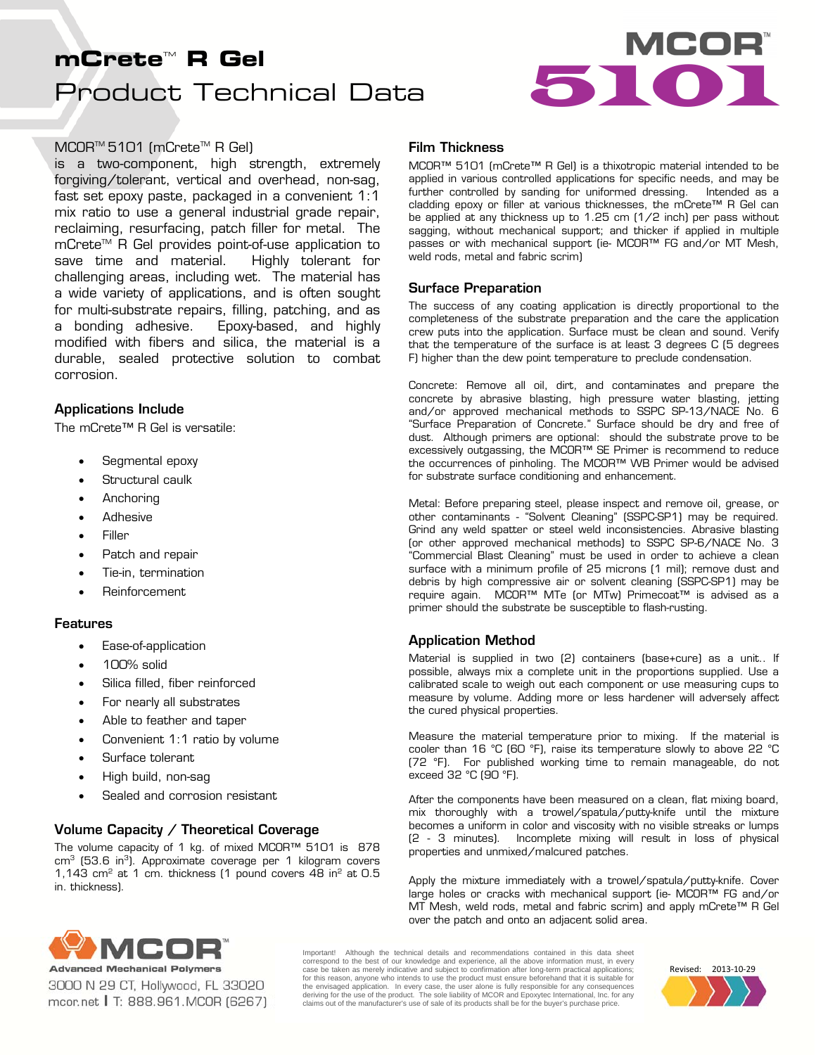# Product Technical Data **mCrete<sup>w</sup> R Gel<br>Product Technical Data**



## MCOR<sup>™</sup> 5101 (mCrete<sup>™</sup> R Gel)

is a two-component, high strength, extremely forgiving/tolerant, vertical and overhead, non-sag, fast set epoxy paste, packaged in a convenient 1:1 mix ratio to use a general industrial grade repair, reclaiming, resurfacing, patch filler for metal. The mCrete<sup>™</sup> R Gel provides point-of-use application to save time and material. Highly tolerant for challenging areas, including wet. The material has a wide variety of applications, and is often sought for multi-substrate repairs, filling, patching, and as a bonding adhesive. Epoxy-based, and highly modified with fibers and silica, the material is a durable, sealed protective solution to combat corrosion.

## Applications Include

The mCrete™ R Gel is versatile:

- Segmental epoxy
- Structural caulk
- Anchoring
- Adhesive
- Filler
- Patch and repair
- Tie-in, termination
- Reinforcement

## Features

- Ease-of-application
- 100% solid
- Silica filled, fiber reinforced
- For nearly all substrates
- Able to feather and taper
- Convenient 1:1 ratio by volume
- Surface tolerant
- High build, non-sag
- Sealed and corrosion resistant

# Volume Capacity / Theoretical Coverage

The volume capacity of 1 kg. of mixed MCOR™ 5101 is 878  $cm<sup>3</sup>$  (53.6 in<sup>3</sup>). Approximate coverage per 1 kilogram covers 1,143  $\text{cm}^2$  at 1 cm. thickness (1 pound covers 48 in $^2$  at 0.5 in. thickness).

#### Film Thickness

MCOR™ 5101 (mCrete™ R Gel) is a thixotropic material intended to be applied in various controlled applications for specific needs, and may be further controlled by sanding for uniformed dressing. Intended as a cladding epoxy or filler at various thicknesses, the mCrete™ R Gel can be applied at any thickness up to 1.25 cm (1/2 inch) per pass without sagging, without mechanical support; and thicker if applied in multiple passes or with mechanical support (ie- MCOR™ FG and/or MT Mesh, weld rods, metal and fabric scrim)

#### Surface Preparation

The success of any coating application is directly proportional to the completeness of the substrate preparation and the care the application crew puts into the application. Surface must be clean and sound. Verify that the temperature of the surface is at least 3 degrees C (5 degrees F) higher than the dew point temperature to preclude condensation.

Concrete: Remove all oil, dirt, and contaminates and prepare the concrete by abrasive blasting, high pressure water blasting, jetting and/or approved mechanical methods to SSPC SP-13/NACE No. 6 "Surface Preparation of Concrete." Surface should be dry and free of dust. Although primers are optional: should the substrate prove to be excessively outgassing, the MCOR™ SE Primer is recommend to reduce the occurrences of pinholing. The MCOR™ WB Primer would be advised for substrate surface conditioning and enhancement.

Metal: Before preparing steel, please inspect and remove oil, grease, or other contaminants - "Solvent Cleaning" (SSPC-SP1) may be required. Grind any weld spatter or steel weld inconsistencies. Abrasive blasting (or other approved mechanical methods) to SSPC SP-6/NACE No. 3 "Commercial Blast Cleaning" must be used in order to achieve a clean surface with a minimum profile of 25 microns (1 mil); remove dust and debris by high compressive air or solvent cleaning (SSPC-SP1) may be require again. MCOR™ MTe (or MTw) Primecoat™ is advised as a primer should the substrate be susceptible to flash-rusting.

## Application Method

Material is supplied in two (2) containers (base+cure) as a unit.. If possible, always mix a complete unit in the proportions supplied. Use a calibrated scale to weigh out each component or use measuring cups to measure by volume. Adding more or less hardener will adversely affect the cured physical properties.

Measure the material temperature prior to mixing. If the material is cooler than 16 °C (60 °F), raise its temperature slowly to above 22 °C (72 °F). For published working time to remain manageable, do not exceed 32 °C (90 °F).

After the components have been measured on a clean, flat mixing board, mix thoroughly with a trowel/spatula/putty-knife until the mixture becomes a uniform in color and viscosity with no visible streaks or lumps (2 - 3 minutes). Incomplete mixing will result in loss of physical properties and unmixed/malcured patches.

Apply the mixture immediately with a trowel/spatula/putty-knife. Cover large holes or cracks with mechanical support (ie- MCOR™ FG and/or MT Mesh, weld rods, metal and fabric scrim) and apply mCrete™ R Gel over the patch and onto an adjacent solid area.



3000 N 29 CT, Hollywood, FL 33020 mcor.net | T: 888.961.MCOR (6267) Important! Although the technical details and recommendations contained in this data sheet correspond to the best of our knowledge and experience, all the above information must, in every case be taken as merely indicative and subject to confirmation after long-term practical applications; for this reason, anyone who intends to use the product must ensure beforehand that it is suitable for the envisaged application. In every case, the user alone is fully responsible for any consequences deriving for the use of the product. The sole liability of MCOR and Epoxytec International, Inc. for any claims out of the manufacturer's use of sale of its products shall be for the buyer's purchase price.